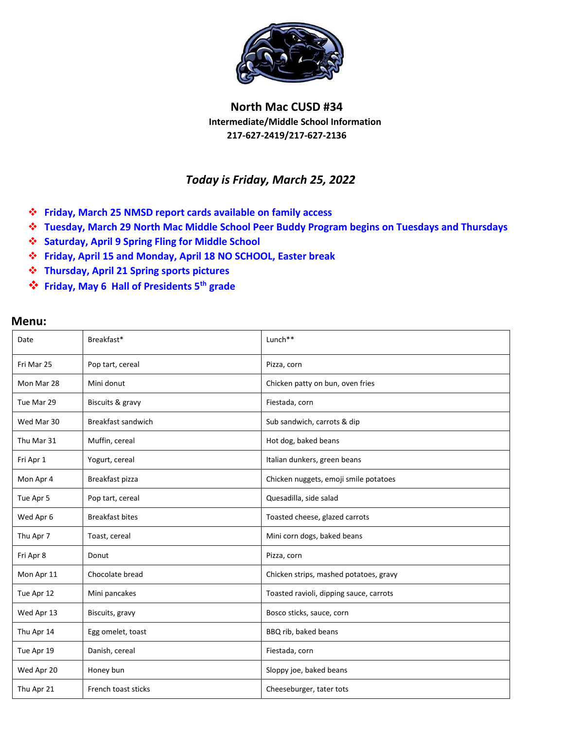

## **North Mac CUSD #34 Intermediate/Middle School Information 217-627-2419/217-627-2136**

## *Today is Friday, March 25, 2022*

- **Friday, March 25 NMSD report cards available on family access**
- **Tuesday, March 29 North Mac Middle School Peer Buddy Program begins on Tuesdays and Thursdays**
- **Saturday, April 9 Spring Fling for Middle School**
- **Friday, April 15 and Monday, April 18 NO SCHOOL, Easter break**
- **Thursday, April 21 Spring sports pictures**
- **Friday, May 6 Hall of Presidents 5th grade**

## **Menu:**

| Date       | Breakfast*                | Lunch**                                 |
|------------|---------------------------|-----------------------------------------|
| Fri Mar 25 | Pop tart, cereal          | Pizza, corn                             |
| Mon Mar 28 | Mini donut                | Chicken patty on bun, oven fries        |
| Tue Mar 29 | Biscuits & gravy          | Fiestada, corn                          |
| Wed Mar 30 | <b>Breakfast sandwich</b> | Sub sandwich, carrots & dip             |
| Thu Mar 31 | Muffin, cereal            | Hot dog, baked beans                    |
| Fri Apr 1  | Yogurt, cereal            | Italian dunkers, green beans            |
| Mon Apr 4  | Breakfast pizza           | Chicken nuggets, emoji smile potatoes   |
| Tue Apr 5  | Pop tart, cereal          | Quesadilla, side salad                  |
| Wed Apr 6  | <b>Breakfast bites</b>    | Toasted cheese, glazed carrots          |
| Thu Apr 7  | Toast, cereal             | Mini corn dogs, baked beans             |
| Fri Apr 8  | Donut                     | Pizza, corn                             |
| Mon Apr 11 | Chocolate bread           | Chicken strips, mashed potatoes, gravy  |
| Tue Apr 12 | Mini pancakes             | Toasted ravioli, dipping sauce, carrots |
| Wed Apr 13 | Biscuits, gravy           | Bosco sticks, sauce, corn               |
| Thu Apr 14 | Egg omelet, toast         | BBQ rib, baked beans                    |
| Tue Apr 19 | Danish, cereal            | Fiestada, corn                          |
| Wed Apr 20 | Honey bun                 | Sloppy joe, baked beans                 |
| Thu Apr 21 | French toast sticks       | Cheeseburger, tater tots                |